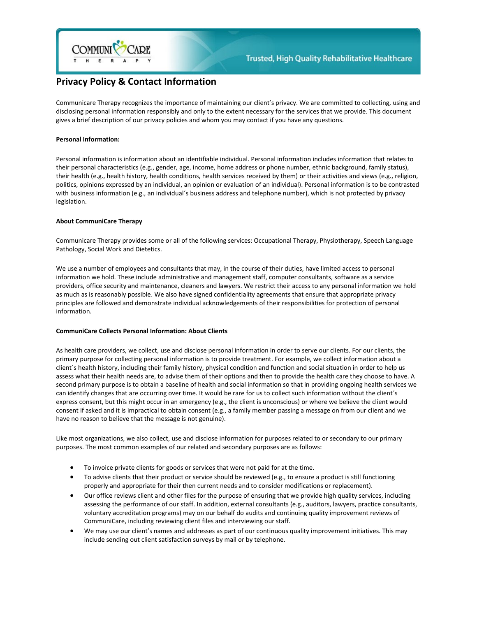

# **Privacy Policy & Contact Information**

Communicare Therapy recognizes the importance of maintaining our client's privacy. We are committed to collecting, using and disclosing personal information responsibly and only to the extent necessary for the services that we provide. This document gives a brief description of our privacy policies and whom you may contact if you have any questions.

# **Personal Information:**

Personal information is information about an identifiable individual. Personal information includes information that relates to their personal characteristics (e.g., gender, age, income, home address or phone number, ethnic background, family status), their health (e.g., health history, health conditions, health services received by them) or their activities and views (e.g., religion, politics, opinions expressed by an individual, an opinion or evaluation of an individual). Personal information is to be contrasted with business information (e.g., an individual´s business address and telephone number), which is not protected by privacy legislation.

# **About CommuniCare Therapy**

Communicare Therapy provides some or all of the following services: Occupational Therapy, Physiotherapy, Speech Language Pathology, Social Work and Dietetics.

We use a number of employees and consultants that may, in the course of their duties, have limited access to personal information we hold. These include administrative and management staff, computer consultants, software as a service providers, office security and maintenance, cleaners and lawyers. We restrict their access to any personal information we hold as much as is reasonably possible. We also have signed confidentiality agreements that ensure that appropriate privacy principles are followed and demonstrate individual acknowledgements of their responsibilities for protection of personal information.

# **CommuniCare Collects Personal Information: About Clients**

As health care providers, we collect, use and disclose personal information in order to serve our clients. For our clients, the primary purpose for collecting personal information is to provide treatment. For example, we collect information about a client´s health history, including their family history, physical condition and function and social situation in order to help us assess what their health needs are, to advise them of their options and then to provide the health care they choose to have. A second primary purpose is to obtain a baseline of health and social information so that in providing ongoing health services we can identify changes that are occurring over time. It would be rare for us to collect such information without the client´s express consent, but this might occur in an emergency (e.g., the client is unconscious) or where we believe the client would consent if asked and it is impractical to obtain consent (e.g., a family member passing a message on from our client and we have no reason to believe that the message is not genuine).

Like most organizations, we also collect, use and disclose information for purposes related to or secondary to our primary purposes. The most common examples of our related and secondary purposes are as follows:

- To invoice private clients for goods or services that were not paid for at the time.
- To advise clients that their product or service should be reviewed (e.g., to ensure a product is still functioning properly and appropriate for their then current needs and to consider modifications or replacement).
- Our office reviews client and other files for the purpose of ensuring that we provide high quality services, including assessing the performance of our staff. In addition, external consultants (e.g., auditors, lawyers, practice consultants, voluntary accreditation programs) may on our behalf do audits and continuing quality improvement reviews of CommuniCare, including reviewing client files and interviewing our staff.
- We may use our client's names and addresses as part of our continuous quality improvement initiatives. This may include sending out client satisfaction surveys by mail or by telephone.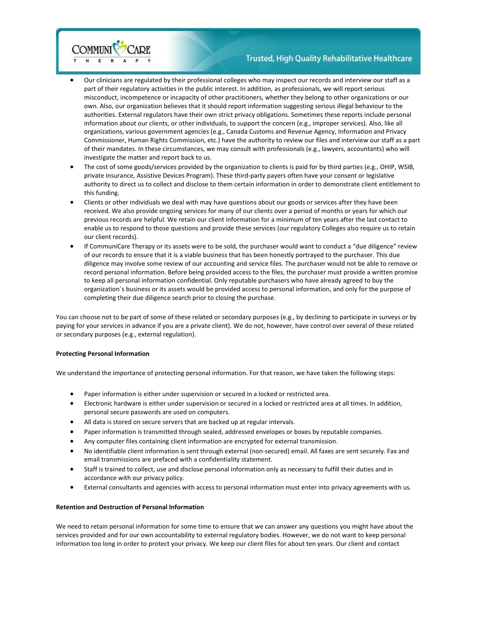

# **Trusted, High Quality Rehabilitative Healthcare**

- Our clinicians are regulated by their professional colleges who may inspect our records and interview our staff as a part of their regulatory activities in the public interest. In addition, as professionals, we will report serious misconduct, incompetence or incapacity of other practitioners, whether they belong to other organizations or our own. Also, our organization believes that it should report information suggesting serious illegal behaviour to the authorities. External regulators have their own strict privacy obligations. Sometimes these reports include personal information about our clients, or other individuals, to support the concern (e.g., improper services). Also, like all organizations, various government agencies (e.g., Canada Customs and Revenue Agency, Information and Privacy Commissioner, Human Rights Commission, etc.) have the authority to review our files and interview our staff as a part of their mandates. In these circumstances, we may consult with professionals (e.g., lawyers, accountants) who will investigate the matter and report back to us.
- The cost of some goods/services provided by the organization to clients is paid for by third parties (e.g., OHIP, WSIB, private insurance, Assistive Devices Program). These third-party payers often have your consent or legislative authority to direct us to collect and disclose to them certain information in order to demonstrate client entitlement to this funding.
- Clients or other individuals we deal with may have questions about our goods or services after they have been received. We also provide ongoing services for many of our clients over a period of months or years for which our previous records are helpful. We retain our client information for a minimum of ten years after the last contact to enable us to respond to those questions and provide these services (our regulatory Colleges also require us to retain our client records).
- If CommuniCare Therapy or its assets were to be sold, the purchaser would want to conduct a "due diligence" review of our records to ensure that it is a viable business that has been honestly portrayed to the purchaser. This due diligence may involve some review of our accounting and service files. The purchaser would not be able to remove or record personal information. Before being provided access to the files, the purchaser must provide a written promise to keep all personal information confidential. Only reputable purchasers who have already agreed to buy the organization´s business or its assets would be provided access to personal information, and only for the purpose of completing their due diligence search prior to closing the purchase.

You can choose not to be part of some of these related or secondary purposes (e.g., by declining to participate in surveys or by paying for your services in advance if you are a private client). We do not, however, have control over several of these related or secondary purposes (e.g., external regulation).

# **Protecting Personal Information**

We understand the importance of protecting personal information. For that reason, we have taken the following steps:

- Paper information is either under supervision or secured in a locked or restricted area.
- Electronic hardware is either under supervision or secured in a locked or restricted area at all times. In addition, personal secure passwords are used on computers.
- All data is stored on secure servers that are backed up at regular intervals.
- Paper information is transmitted through sealed, addressed envelopes or boxes by reputable companies.
- Any computer files containing client information are encrypted for external transmission.
- No identifiable client information is sent through external (non-secured) email. All faxes are sent securely. Fax and email transmissions are prefaced with a confidentiality statement.
- Staff is trained to collect, use and disclose personal information only as necessary to fulfill their duties and in accordance with our privacy policy.
- External consultants and agencies with access to personal information must enter into privacy agreements with us.

# **Retention and Destruction of Personal Information**

We need to retain personal information for some time to ensure that we can answer any questions you might have about the services provided and for our own accountability to external regulatory bodies. However, we do not want to keep personal information too long in order to protect your privacy. We keep our client files for about ten years. Our client and contact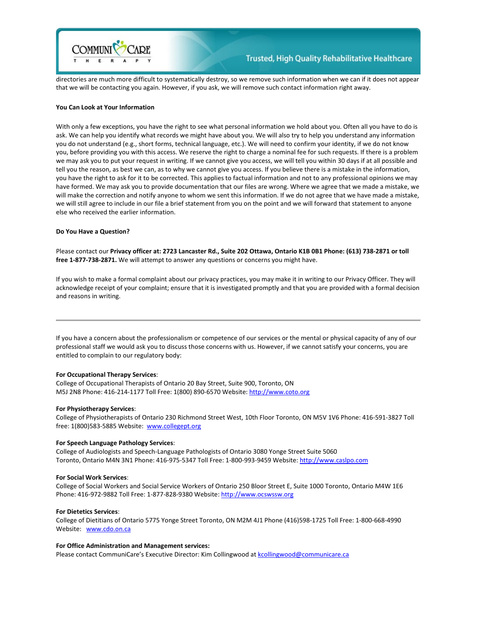

directories are much more difficult to systematically destroy, so we remove such information when we can if it does not appear that we will be contacting you again. However, if you ask, we will remove such contact information right away.

# **You Can Look at Your Information**

With only a few exceptions, you have the right to see what personal information we hold about you. Often all you have to do is ask. We can help you identify what records we might have about you. We will also try to help you understand any information you do not understand (e.g., short forms, technical language, etc.). We will need to confirm your identity, if we do not know you, before providing you with this access. We reserve the right to charge a nominal fee for such requests. If there is a problem we may ask you to put your request in writing. If we cannot give you access, we will tell you within 30 days if at all possible and tell you the reason, as best we can, as to why we cannot give you access. If you believe there is a mistake in the information, you have the right to ask for it to be corrected. This applies to factual information and not to any professional opinions we may have formed. We may ask you to provide documentation that our files are wrong. Where we agree that we made a mistake, we will make the correction and notify anyone to whom we sent this information. If we do not agree that we have made a mistake, we will still agree to include in our file a brief statement from you on the point and we will forward that statement to anyone else who received the earlier information.

#### **Do You Have a Question?**

Please contact our **Privacy officer at: 2723 Lancaster Rd., Suite 202 Ottawa, Ontario K1B 0B1 Phone: (613) 738-2871 or toll free 1-877-738-2871.** We will attempt to answer any questions or concerns you might have.

If you wish to make a formal complaint about our privacy practices, you may make it in writing to our Privacy Officer. They will acknowledge receipt of your complaint; ensure that it is investigated promptly and that you are provided with a formal decision and reasons in writing.

If you have a concern about the professionalism or competence of our services or the mental or physical capacity of any of our professional staff we would ask you to discuss those concerns with us. However, if we cannot satisfy your concerns, you are entitled to complain to our regulatory body:

# **For Occupational Therapy Services**:

College of Occupational Therapists of Ontario 20 Bay Street, Suite 900, Toronto, ON M5J 2N8 Phone: 416-214-1177 Toll Free: 1(800) 890-6570 Website: [http://www.coto.org](http://www.coto.org/)

#### **For Physiotherapy Services**:

College of Physiotherapists of Ontario 230 Richmond Street West, 10th Floor Toronto, ON M5V 1V6 Phone: 416-591-3827 Toll free: 1(800)583-5885 Website: [www.collegept.org](http://www.collegept.org/)

#### **For Speech Language Pathology Services**:

College of Audiologists and Speech-Language Pathologists of Ontario 3080 Yonge Street Suite 5060 Toronto, Ontario M4N 3N1 Phone: 416-975-5347 Toll Free: 1-800-993-9459 Website: [http://www.caslpo.com](http://www.caslpo.com/)

#### **For Social Work Services**:

College of Social Workers and Social Service Workers of Ontario 250 Bloor Street E, Suite 1000 Toronto, Ontario M4W 1E6 Phone: 416-972-9882 Toll Free: 1-877-828-9380 Website: [http://www.ocswssw.org](http://www.ocswssw.org/)

#### **For Dietetics Services**:

College of Dietitians of Ontario 5775 Yonge Street Toronto, ON M2M 4J1 Phone (416)598-1725 Toll Free: 1-800-668-4990 Website: [www.cdo.on.ca](http://www.cdo.on.ca/)

#### **For Office Administration and Management services:**

Please contact CommuniCare's Executive Director: Kim Collingwood a[t kcollingwood@communicare.ca](mailto:kcollingwood@communicare.ca)